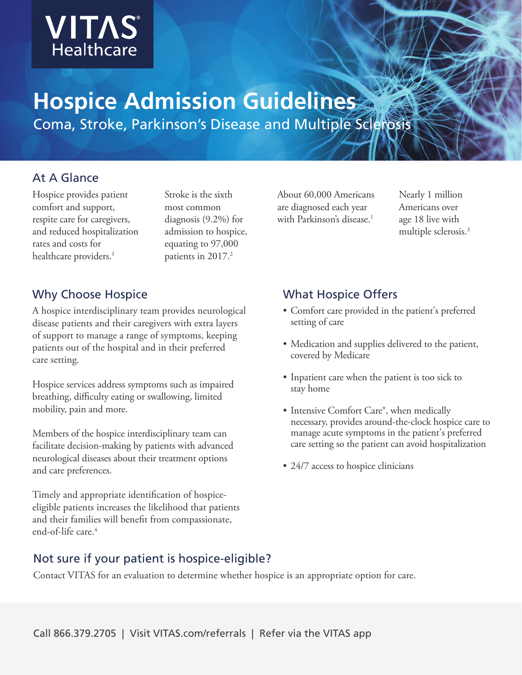

# **Hospice Admission Guidelines**

Coma, Stroke, Parkinson's Disease and Multiple Sclerosis

### At A Glance

Hospice provides patient comfort and support, respite care for caregivers, and reduced hospitalization rates and costs for healthcare providers.<sup>1</sup>

Stroke is the sixth most common diagnosis (9.2%) for admission to hospice, equating to 97,000 patients in 2017.<sup>2</sup>

### Why Choose Hospice

A hospice interdisciplinary team provides neurological disease patients and their caregivers with extra layers of support to manage a range of symptoms, keeping patients out of the hospital and in their preferred care setting.

Hospice services address symptoms such as impaired breathing, difficulty eating or swallowing, limited mobility, pain and more.

Members of the hospice interdisciplinary team can facilitate decision-making by patients with advanced neurological diseases about their treatment options and care preferences.

Timely and appropriate identification of hospiceeligible patients increases the likelihood that patients and their families will benefit from compassionate, end-of-life care.4

About 60,000 Americans are diagnosed each year with Parkinson's disease.<sup>1</sup>

Nearly 1 million Americans over age 18 live with multiple sclerosis.3

# What Hospice Offers

- Comfort care provided in the patient's preferred setting of care
- Medication and supplies delivered to the patient, covered by Medicare
- Inpatient care when the patient is too sick to stay home
- Intensive Comfort Care®, when medically necessary, provides around-the-clock hospice care to manage acute symptoms in the patient's preferred care setting so the patient can avoid hospitalization
- 24/7 access to hospice clinicians

### Not sure if your patient is hospice-eligible?

Contact VITAS for an evaluation to determine whether hospice is an appropriate option for care.